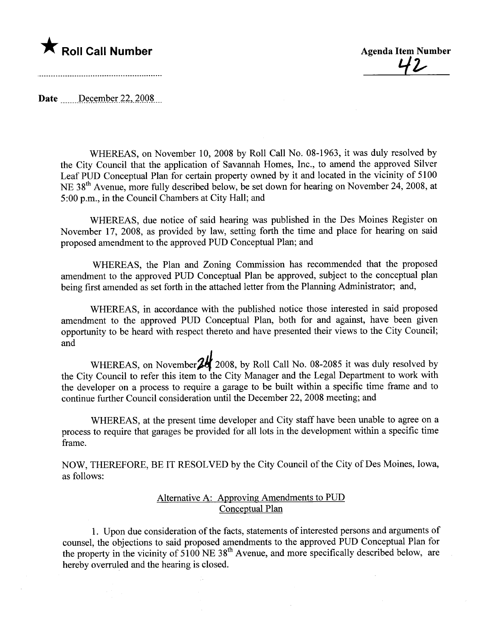## \* Roll Call Number Agenda Item Number

<u>42</u>

Date  $December 22, 2008$ 

WHEREAS, on November 10, 2008 by Roll Call No. 08-1963, it was duly resolved by the City Council that the application of Savanah Homes, Inc., to amend the approved Silver Leaf PUD Conceptual Plan for certain property owned by it and located in the vicinity of 5100 NE 38<sup>th</sup> Avenue, more fully described below, be set down for hearing on November 24, 2008, at 5 :00 p.m., in the Council Chambers at City Hall; and

WHEREAS, due notice of said hearing was published in the Des Moines Register on November 17, 2008, as provided by law, setting forth the time and place for hearing on said proposed amendment to the approved PUD Conceptual Plan; and

WHEREAS, the Plan and Zoning Commission has recommended that the proposed amendment to the approved PUD Conceptual Plan be approved, subject to the conceptual plan being first amended as set forth in the attached letter from the Planning Administrator; and,

WHEREAS, in accordance with the published notice those interested in said proposed amendment to the approved PUD Conceptual Plan, both for and against, have been given opportunity to be heard with respect thereto and have presented their views to the City Council; and

WHEREAS, on November<sup>24</sup> 2008, by Roll Call No. 08-2085 it was duly resolved by the City Council to refer this item to the City Manager and the Legal Department to work with the developer on a process to require a garage to be built within a specific time frame and to continue furher Council consideration until the December 22, 2008 meeting; and

WHEREAS, at the present time developer and City staff have been unable to agree on a process to require that garages be provided for all lots in the development within a specific time frame.

NOW, THEREFORE, BE IT RESOLVED by the City Council of the City of Des Moines, Iowa, as follows:

## Alternative A: Approving Amendments to PUD Conceptual Plan

1. Upon due consideration of the facts, statements of interested persons and arguments of counsel, the objections to said proposed amendments to the approved PUD Conceptual Plan for the property in the vicinity of  $5100$  NE  $38<sup>th</sup>$  Avenue, and more specifically described below, are hereby overruled and the hearing is closed.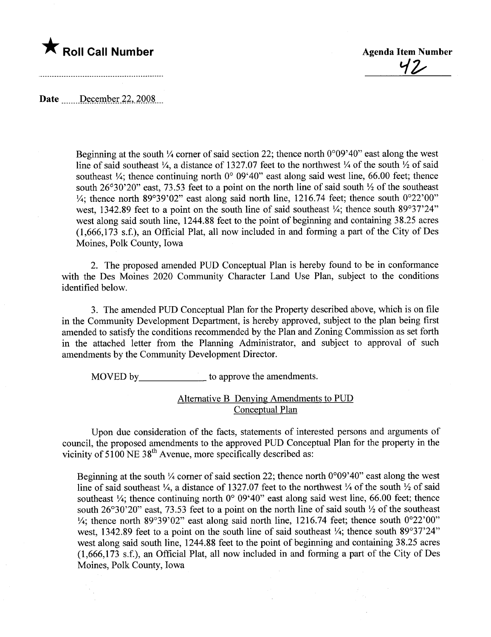

42

Date  $\_$  December 22, 2008

Beginning at the south  $\frac{1}{4}$  corner of said section 22; thence north 0°09'40" east along the west line of said southeast  $\frac{1}{4}$ , a distance of 1327.07 feet to the northwest  $\frac{1}{4}$  of the south  $\frac{1}{2}$  of said southeast  $\frac{1}{4}$ ; thence continuing north 0° 09'40" east along said west line, 66.00 feet; thence south  $26^{\circ}30'20''$  east, 73.53 feet to a point on the north line of said south  $\frac{1}{2}$  of the southeast  $\frac{1}{4}$ ; thence north 89°39'02" east along said north line, 1216.74 feet; thence south 0°22'00" west, 1342.89 feet to a point on the south line of said southeast  $\frac{1}{4}$ ; thence south 89°37'24" west along said south line, 1244.88 feet to the point of beginning and containing 38.25 acres  $(1,666,173 \text{ s.f.})$ , an Official Plat, all now included in and forming a part of the City of Des Moines, Polk County, Iowa

2. The proposed amended PUD Conceptual Plan is hereby found to be in conformance with the Des Moines 2020 Community Character Land Use Plan, subject to the conditions identified below.

3. The amended PUD Conceptual Plan for the Property described above, which is on fie in the Community Development Department, is hereby approved, subject to the plan being first amended to satisfy the conditions recommended by the Plan and Zoning Commission as set forth in the attached letter from the Planning Administrator, and subject to approval of such amendments by the Community Development Director.

MOVED by\_\_\_\_\_\_\_\_\_\_\_\_\_\_\_\_ to approve the amendments.

## Alternative B Denying Amendments to PUD Conceptual Plan

Upon due consideration of the facts, statements of interested persons and arguments of council, the proposed amendments to the approved PUD Conceptual Plan for the property in the vicinity of  $5100 \text{ NE } 38^{\text{th}}$  Avenue, more specifically described as:

Beginning at the south  $\frac{1}{4}$  corner of said section 22; thence north 0°09'40" east along the west line of said southeast  $\frac{1}{4}$ , a distance of 1327.07 feet to the northwest  $\frac{1}{4}$  of the south  $\frac{1}{2}$  of said southeast  $\frac{1}{4}$ ; thence continuing north 0° 09'40" east along said west line, 66.00 feet; thence south  $26^{\circ}30'20''$  east, 73.53 feet to a point on the north line of said south  $\frac{1}{2}$  of the southeast  $\frac{1}{4}$ ; thence north 89°39'02" east along said north line, 1216.74 feet; thence south 0°22'00" west, 1342.89 feet to a point on the south line of said southeast  $\frac{1}{4}$ ; thence south 89°37'24" west along said south line, 1244.88 feet to the point of beginning and containing 38.25 acres  $(1,666,173 \text{ s.f.})$ , an Official Plat, all now included in and forming a part of the City of Des Moines, Polk County, Iowa

 $\mathcal{L}_{\mathcal{L}}$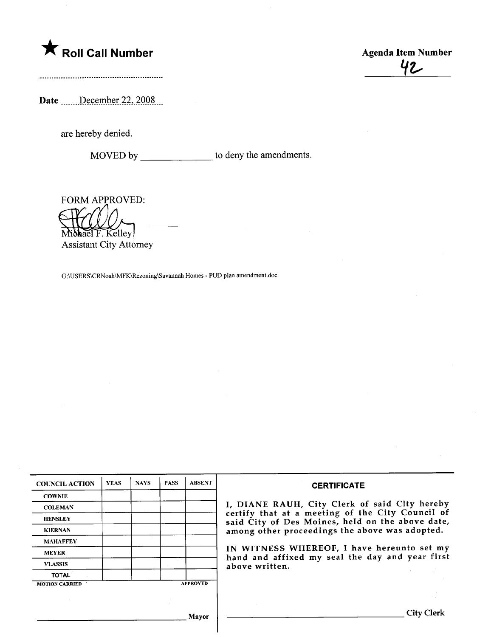# \* Roll Call Number Agenda Item Number

42

Date \_\_\_\_\_\_December 22, 2008

are hereby denied.

MOVED by \_\_\_\_\_\_\_\_\_\_\_\_\_\_\_\_ to deny the amendments.

FORM APPROVED:

Michael F. Kelley **Assistant City Attorney** 

G:\USERS\CRNoah\MFK\Rezoning\Savannah Homes - PUD plan amendment.doc

 $\overline{\phantom{a}}$ 

| <b>COUNCIL ACTION</b> | <b>YEAS</b> | <b>NAYS</b> | <b>PASS</b> | <b>ABSENT</b>   | <b>CERTIFICATE</b>                                                                                   |
|-----------------------|-------------|-------------|-------------|-----------------|------------------------------------------------------------------------------------------------------|
| <b>COWNIE</b>         |             |             |             |                 |                                                                                                      |
| <b>COLEMAN</b>        |             |             |             |                 | I, DIANE RAUH, City Clerk of said City hereby                                                        |
| <b>HENSLEY</b>        |             |             |             |                 | certify that at a meeting of the City Council of<br>said City of Des Moines, held on the above date, |
| <b>KIERNAN</b>        |             |             |             |                 | among other proceedings the above was adopted.                                                       |
| <b>MAHAFFEY</b>       |             |             |             |                 |                                                                                                      |
| <b>MEYER</b>          |             |             |             |                 | IN WITNESS WHEREOF, I have hereunto set my<br>hand and affixed my seal the day and year first        |
| <b>VLASSIS</b>        |             |             |             |                 | above written.                                                                                       |
| <b>TOTAL</b>          |             |             |             |                 |                                                                                                      |
| <b>MOTION CARRIED</b> |             |             |             | <b>APPROVED</b> |                                                                                                      |
|                       |             |             |             |                 |                                                                                                      |
|                       |             |             |             | Mayor           | <b>City Clerk</b>                                                                                    |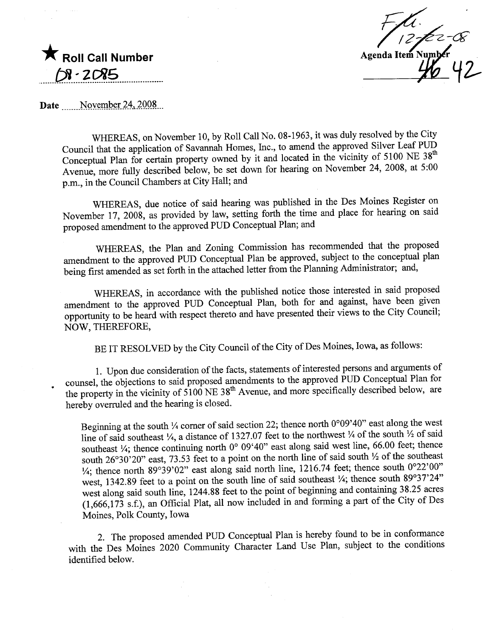$\blacktriangledown$  Roll Call Number **DI-2085** .. ..\_\_f2~ \_ ~\_ \_ ?:J;?l-l?.. -- \_.. ..oo\_..-

Agenda Item Number

Date November 24, 2008

WHEREAS, on November 10, by Roll Call No. 08-1963, it was duly resolved by the City Council that the application of Savanah Homes, Inc., to amend the approved Silver Leaf PUD Conceptual Plan for certain property owned by it and located in the vicinity of 5100 NE  $38<sup>th</sup>$ Avenue, more fully described below, be set down for hearng on November 24, 2008, at 5:00 p.m., in the Council Chambers at City Hall; and

WHEREAS, due notice of said hearing was published in the Des Moines Register on November 17, 2008, as provided by law, setting forth the time and place for hearing on said proposed amendment to the approved PUD Conceptual Plan; and

WHREAS, the Plan and Zoning Commission has recommended that the proposed amendment to the approved PUD Conceptual Plan be approved, subject to the conceptual plan being first amended as set forth in the attached letter from the Planning Administrator; and,

WHREAS, in accordance with the published notice those interested in said proposed amendment to the approved PUD Conceptual Plan, both for and against, have been given opportunity to be heard with respect thereto and have presented their views to the City Council; NOW, THEREFORE,

BE IT RESOLVED by the City Council of the City of Des Moines, Iowa, as follows:

1. Upon due consideration of the facts, statements of interested persons and arguments of counsel, the objections to said proposed amendments to the approved PUD Conceptual Plan for the property in the vicinity of 5100 NE 38<sup>th</sup> Avenue, and more specifically described below, are hereby overruled and the hearing is closed.

Beginning at the south  $\frac{1}{4}$  corner of said section 22; thence north 0°09'40" east along the west line of said southeast  $\frac{1}{4}$ , a distance of 1327.07 feet to the northwest  $\frac{1}{4}$  of the south  $\frac{1}{2}$  of said southeast  $\frac{1}{4}$ ; thence continuing north 0° 09'40" east along said west line, 66.00 feet; thence south 26°30'20" east, 73.53 feet to a point on the north line of said south  $\frac{1}{2}$  of the southeast  $\frac{1}{4}$ ; thence north 89°39'02" east along said north line, 1216.74 feet; thence south 0°22'00" west, 1342.89 feet to a point on the south line of said southeast  $\frac{1}{4}$ ; thence south 89°37'24" west along said south line,  $1244.88$  feet to the point of beginning and containing  $38.25$  acres  $(1,666,173 \text{ s.f.})$ , an Official Plat, all now included in and forming a part of the City of Des Moines, Polk County, Iowa

2. The proposed amended PUD Conceptual Plan is hereby found to be in conformance with the Des Moines 2020 Community Character Land Use Plan, subject to the conditions identified below.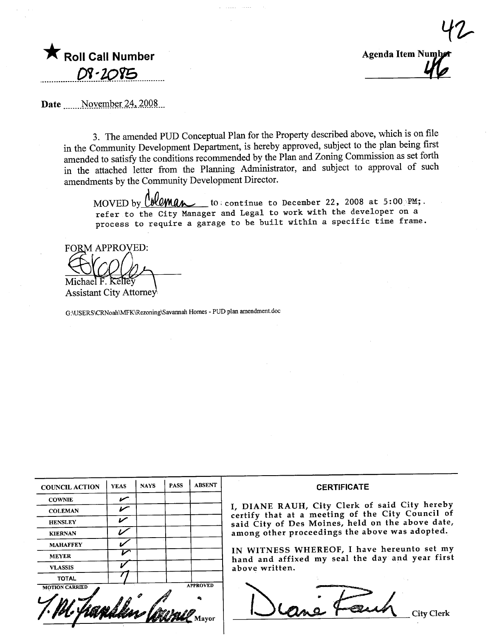

 $1$ **Agenda Item Numb** 

Date ....... November 24, 2008...

3. The amended PUD Conceptual Plan for the Property described above, which is on file in the Community Development Department, is hereby approved, subject to the plan being first amended to satisfy the conditions recommended by the Plan and Zoning Commission as set forth in the attached letter from the Planning Administrator, and subject to approval of such amendments by the Communty Development Director.

 $M$ UV  $M$  by  $M$  and  $M$ MOVED by  $\ell$  **bleman** to continue to December 22, 2008 at 5:00 PM; refer to the City Manager and Legal to work with the developer on a process to require a garage to be built within a specific time frame.

**FORM APPROVED:** 

**Assistant City Attorney** 

G:\USERS\CRNoah\MK\Rezoning\Savanah Homes - PUD plan amendment.doc

| <b>COUNCIL ACTION</b> | <b>YEAS</b> | <b>NAYS</b> | <b>PASS</b> | <b>ABSENT</b>   | <b>CERTIFICATE</b>                                                                                |
|-----------------------|-------------|-------------|-------------|-----------------|---------------------------------------------------------------------------------------------------|
| <b>COWNIE</b>         | بمسمع       |             |             |                 |                                                                                                   |
| <b>COLEMAN</b>        | $\sqrt{}$   |             |             |                 | I, DIANE RAUH, City Clerk of said City hereby<br>certify that at a meeting of the City Council of |
| <b>HENSLEY</b>        | び           |             |             |                 | said City of Des Moines, held on the above date,                                                  |
| <b>KIERNAN</b>        |             |             |             |                 | among other proceedings the above was adopted.                                                    |
| <b>MAHAFFEY</b>       |             |             |             |                 | IN WITNESS WHEREOF, I have hereunto set my                                                        |
| <b>MEYER</b>          | ∽           |             |             |                 | hand and affixed my seal the day and year first                                                   |
| <b>VLASSIS</b>        |             |             |             |                 | above written.                                                                                    |
| <b>TOTAL</b>          |             |             |             |                 |                                                                                                   |
| <b>MOTION CARRIED</b> |             |             |             | <b>APPROVED</b> |                                                                                                   |
|                       |             |             |             |                 |                                                                                                   |
|                       |             |             |             |                 | City Clerk                                                                                        |
|                       |             |             |             |                 |                                                                                                   |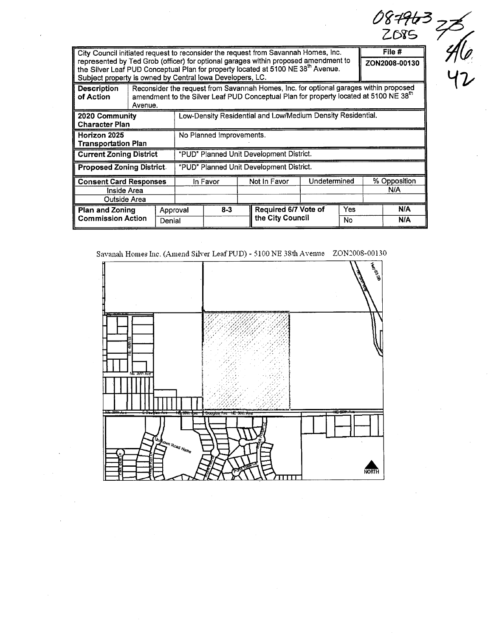|                                                                                                                                                                                                                                                                                                                                                       |                                                              |                    |                                          |                                                                                                                                                                                            |  |                                          |  |            |  | ZOSS                |  |
|-------------------------------------------------------------------------------------------------------------------------------------------------------------------------------------------------------------------------------------------------------------------------------------------------------------------------------------------------------|--------------------------------------------------------------|--------------------|------------------------------------------|--------------------------------------------------------------------------------------------------------------------------------------------------------------------------------------------|--|------------------------------------------|--|------------|--|---------------------|--|
| File #<br>City Council initiated request to reconsider the request from Savannah Homes, Inc.<br>represented by Ted Grob (officer) for optional garages within proposed amendment to<br>ZON2008-00130<br>the Silver Leaf PUD Conceptual Plan for property located at 5100 NE 38th Avenue.<br>Subject property is owned by Central lowa Developers, LC. |                                                              |                    |                                          |                                                                                                                                                                                            |  |                                          |  |            |  |                     |  |
| <b>Description</b><br>of Action                                                                                                                                                                                                                                                                                                                       | Avenue.                                                      |                    |                                          | Reconsider the request from Savannah Homes, Inc. for optional garages within proposed<br>amendment to the Silver Leaf PUD Conceptual Plan for property located at 5100 NE 38 <sup>th</sup> |  |                                          |  |            |  |                     |  |
| 2020 Community<br><b>Character Plan</b>                                                                                                                                                                                                                                                                                                               | Low-Density Residential and Low/Medium Density Residential.  |                    |                                          |                                                                                                                                                                                            |  |                                          |  |            |  |                     |  |
| Horizon 2025<br><b>Transportation Plan</b>                                                                                                                                                                                                                                                                                                            |                                                              |                    | No Planned Improvements.                 |                                                                                                                                                                                            |  |                                          |  |            |  |                     |  |
| <b>Current Zoning District</b>                                                                                                                                                                                                                                                                                                                        |                                                              |                    | "PUD" Planned Unit Development District. |                                                                                                                                                                                            |  |                                          |  |            |  |                     |  |
| <b>Proposed Zoning District</b>                                                                                                                                                                                                                                                                                                                       |                                                              |                    | "PUD" Planned Unit Development District. |                                                                                                                                                                                            |  |                                          |  |            |  |                     |  |
|                                                                                                                                                                                                                                                                                                                                                       | <b>Consent Card Responses</b><br>Inside Area<br>Outside Area |                    |                                          | In Favor                                                                                                                                                                                   |  | Undetermined<br>Not In Favor             |  |            |  | % Opposition<br>N/A |  |
| <b>Plan and Zoning</b><br><b>Commission Action</b>                                                                                                                                                                                                                                                                                                    |                                                              | Approval<br>Denial |                                          | $8 - 3$                                                                                                                                                                                    |  | Required 6/7 Vote of<br>the City Council |  | Yes<br>No. |  | N/A<br>N/A          |  |

Savanah Homes Inc. (Amend Silver Leaf PUD) - 5100 NE 38th Avenue ZON2008-00130

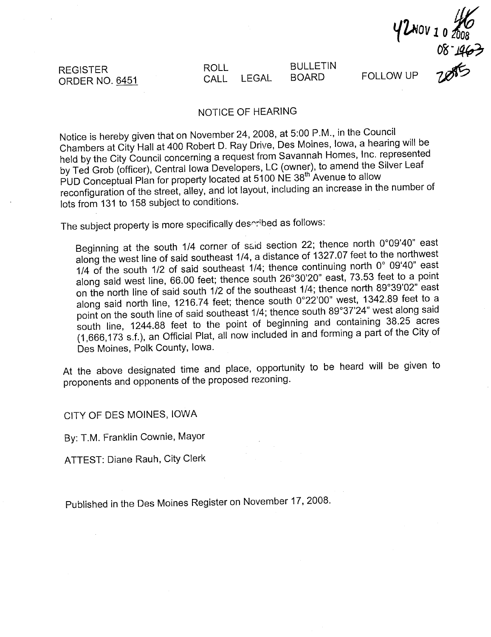REGISTER ORDER NO. 6451

#### ROLL CALL LEGAL BULLETIN BOARD

 $68 - 463$ 

FOLLOW UP 2000

## NOTICE OF HEARING

Notice is hereby given that on November 24,2008, at 5:00 P.M., in the Council Chambers at City Hall at 400 Robert D. Ray Drive, Des Moines, Iowa, a hearing will be held by the City Council concerning a request from Savannah Homes, Inc. represented by Ted Grob (officer), Central Iowa Developers, LC (owner), to amend the Silver Leaf PUD Conceptual Plan for property located at 5100 NE 38<sup>th A</sup>venue to allow reconfiguration of the street, alley, and lot layout, including an increase in the number of lots from 131 to 158 subject to conditions.

The subject property is more specifically deserbed as follows:

Beginning at the south 1/4 corner of said section 22; thence north 0°09'40" east along the west line of said southeast 1/4, a distance of 1327.07 feet to the northwest 1/4 of the south 1/2 of said southeast 1/4; thence continuing north 0° 09'40" east along said west line, 66.00 feet; thence south 26°30'20" east, 73.53 feet to a point on the north line of said south 1/2 of the southeast 1/4; thence north 89°39'02" east along said north line, 1216.74 feet; thence south 0°22'00" west, 1342.89 feet to a point on the south line of said southeast 1/4; thence south 89°37'24" west along said south line, 1244.88 feet to the point of beginning and containing 38.25 acres (1,666,173 s.f.), an Official Plat, all now included in and forming a part of the City of Des Moines, Polk County, Iowa.

At the above designated time and place, opportunity to be heard will be given to proponents and opponents of the proposed rezoning.

CITY OF DES MOINES, IOWA

By: T.M. Franklin Cownie, Mayor

ATTEST: Diane Rauh, City Clerk

Published in the Des Moines Register on November 17, 2008.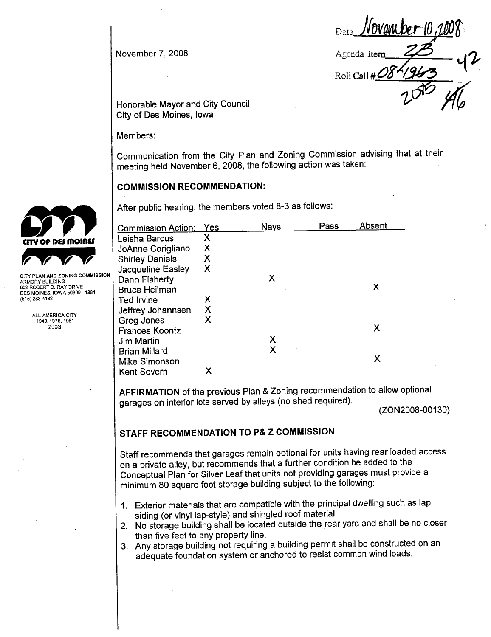November 7, 2008

 $I$ nvanı be $\bm{r}$  II. Agenda Item Roll Call # $\ell$  $20 - 46$ 

Honorable Mayor and City Council City of Des Moines, Iowa

Members:

Communication from the City Plan and Zoning Commission advising that at their meeting held November 6, 2008, the following action was taken:

## COMMISSION RECOMMENDATION:

After public hearing, the members voted 8-3 as follows:

| <b>Commission Action:</b> | Yes | <b>Nays</b> | Pass | Absent |
|---------------------------|-----|-------------|------|--------|
| Leisha Barcus             | X   |             |      |        |
| JoAnne Corigliano         | X   |             |      |        |
| <b>Shirley Daniels</b>    | X   |             |      |        |
| Jacqueline Easley         | X   |             |      |        |
| Dann Flaherty             |     | Х           |      |        |
| <b>Bruce Heilman</b>      |     |             |      | Х      |
| <b>Ted Irvine</b>         | Χ   |             |      |        |
| Jeffrey Johannsen         | Χ   |             |      |        |
| Greg Jones                | Х   |             |      |        |
| <b>Frances Koontz</b>     |     |             |      | X      |
| Jim Martin                |     | Х           |      |        |
| <b>Brian Millard</b>      |     |             |      |        |
| Mike Simonson             |     |             |      | x      |
| <b>Kent Sovern</b>        | х   |             |      |        |

AFFIRMATION of the previous Plan & Zoning recommendation to allow optional garages on interior lots served by alleys (no shed required).

(ZON2008-00130)

## STAFF RECOMMENDATION TO P& Z COMMISSION

Staff recommends that garages remain optional for units having rear loaded access on a private alley, but recommends that a further condition be added to the Conceptual Plan for Silver Leaf that units not providing garages must provide a minimum 80 square foot storage building subject to the following:

- 1. Exterior materials that are compatible with the principal dwellng such as lap siding (or vinyl lap-style) and shingled roof materiaL.
- 2. No storage building shall be located outside the rear yard and shall be no closer than five feet to any property line.
- 3. Any storage building not requiring a building permit shall be constructed on an adequate foundation system or anchored to resist common wind loads.



ARMORY BUILDING 602 ROBERT D. RAY DRIVE DES MOINES, IOWA 50309-1881 (515) 283-4182

> ALL-AMERICA CITY 1949,1976,1981 2003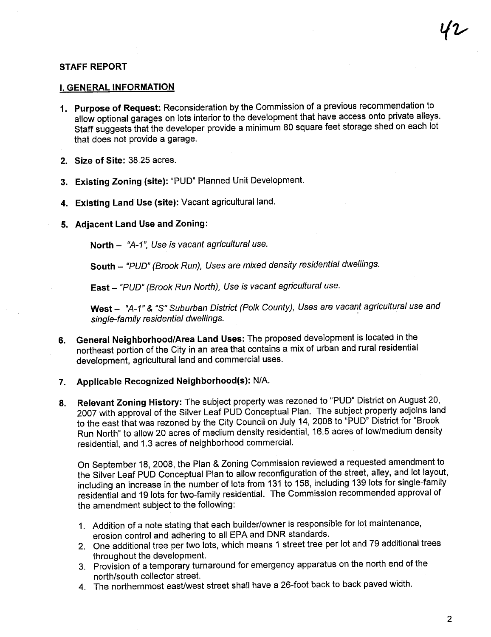### STAFF REPORT

#### i. GENERAL INFORMATION

- 1. Purpose of Request: Reconsideration by the Commission of a previous recommendation to allow optional garages on lots interior to the development that have access onto private alleys. Staff suggests that the developer provide a minimum 80 square feet storage shed on each lot that does not provide a garage.
- 2. Size of Site: 38.25 acres.
- 3. Existing Zoning (site): "PUD" Planned Unit Development.
- 4. Existing Land Use (site): Vacant agricultural land.
- 5. Adjacent Land Use and Zoning:

North - "A-1", Use is vacant agricultural use.

South - "PUD" (Brook Run), Uses are mixed density residential dwellings.

East - "PUD" (Brook Run North), Use is vacant agricultural use.

West - "A-1" & "S" Suburban District (Polk County), Uses are vacant agricultural use and single-family residential dwellings.

- 6. General NeighborhoodlArea Land Uses: The proposed development is located in the northeast portion of the City in an area that contains a mix of urban and rural residential development, agricultural land and commercial uses.
- 7. Applicable Recognized Neighborhood(s): N/A.
- 8. Relevant Zoning History: The subject property was rezoned to "PUD" District on August 20, 2007 with approval of the Silver Leaf PUD Conceptual Plan. The subject property adjoins land to the east that was rezoned by the City Council on July 14, 2008 to "PUD" District for "Brook Run North" to allow 20 acres of medium density residential, 16.5 acres of low/medium density residential, and 1.3 acres of neighborhood commerciaL.

On September 18, 2008, the Plan & Zoning Commission reviewed a requested amendment to the Silver Leaf PUD Conceptual Plan to allow reconfiguration of the street, alley, and lot layout, including an increase in the number of lots from 131 to 158, including 139 residential and 19 lots for two-family residentiaL. The Commission recommended approval of including an increase in the number of lots from 131 to 158, including 139 lots for single-family the amendment subject to the following:

- 1. Addition of a note stating that each builder/owner is responsible for lot maintenance, erosion control and adhering to all EPA and DNR standards.
- 2. One additional tree per two lots, which means 1 street tree per lot and 79 additional trees throughout the development.
- 3. Provision of a temporary turnaround for emergency apparatus on the north end of the north/south collector street.
- 4. The northernmost east/west street shall have a 26-foot back to back paved width.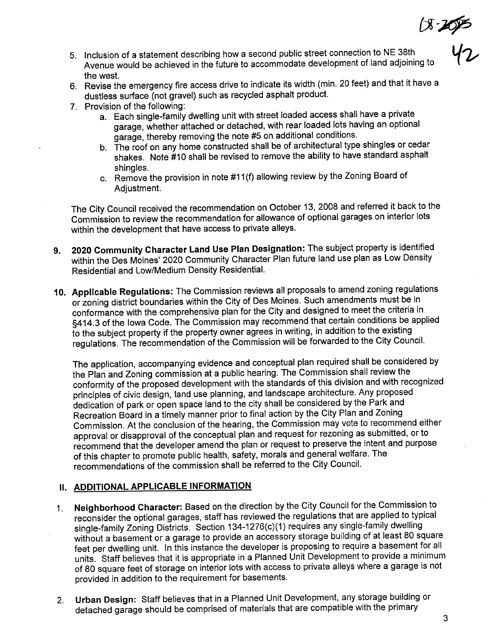$(8 - 20)$ 

42

- 5. Inclusion of a statement describing how a second public street connection to NE 38th Avenue would be achieved in the future to accommodate development of land adjoining to the west.
- 6. Revise the emergency fire access drive to indicate its width (min. 20 feet) and that it have a dustless surface (not gravel) such as recycled asphalt product.
- 7. Provision of the following:
	- a. Each single-family dwelling unit with street loaded access shall have a private garage, whether attached or detached, with rear loaded lots having an optional garage, thereby removing the note #5 on additional conditions.
	- b. The roof on any home constructed shall be of architectural type shingles or cedar shakes. Note #10 shall be revised to remove the abilty to have standard asphalt shingles.
	- c. Remove the provision in note #11 (f) allowing review by the Zoning Board of Adjustment.

The City Council received the recommendation on October 13, 2008 and referred it back to the Commission to review the recommendation for allowance of optional garages on interior lots within the development that have access to private alleys.

- 9. 2020 Community Character Land Use Plan Designation: The subject property is identified within the Des Moines' 2020 Community Character Plan future land use plan as Low Density Residential and Low/Medium Density ResidentiaL.
- 10. Applicable Regulations: The Commission reviews all proposals to amend zoning regulations or zoning district boundaries within the City of Des Moines. Such amendments must be in conformance with the comprehensive plan for the City and designed to meet the criteria in §414.3 of the Iowa Code. The Commission may recommend that certain conditions be applied to the subject property if the property owner agrees in writing, in addition to the existing regulations. The recommendation of the Commission will be forwarded to the City CounciL.

The application, accompanying evidence and conceptual plan required shall be considered by the Plan and Zoning commission at a public hearing. The Commission shall review the conformity of the proposed development with the standards of this division and with recognized principles of civic design, land use planning, and landscape architecture. Any proposed dedication of park or open space land to the city shall be considered by the Park and Recreation Board in a timely manner prior to final action by the City Plan and Zoning Commission. At the conclusion of the hearing, the Commission may vote to recommend either approval or disapproval of the conceptual plan and request for rezoning as submitted, or to recommend that the developer amend the plan or request to preserve the intent and purpose of this chapter to promote public health, safety, morals and general welfare. The recommendations of the commission shall be referred to the City CounciL.

## II. ADDITIONAL APPLICABLE INFORMATION

- 1. Neighborhood Character: Based on the direction by the City Council for the Commission to reconsider the optional garages, staff has reviewed the regulations that are applied to typical single-family Zoning Districts. Section 134-1276(c)(1) requires any single-family dwelling without a basement or a garage to provide an accessory storage building of at least 80 square feet per dwellng unit. In this instance the developer is proposing to require a basement for all units. Staff believes that it is appropriate in a Planned Unit Development to provide a minimum of 80 square feet of storage on interior lots with access to private alleys where a garage is not provided in addition to the requirement for basements.
- 2. Urban Design: Staff believes that in a Planned Unit Development, any storage building or detached garage should be comprised of materials that are compatible with the primary

3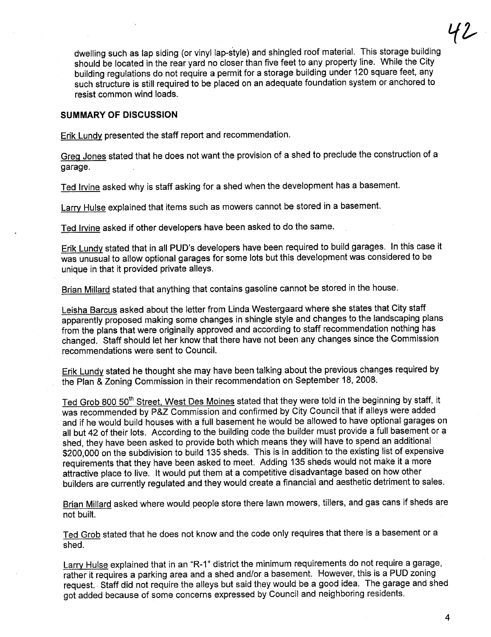dwelling such as lap siding (or vinyl lap-style) and shingled roof material. This storage building should be located in the rear yard no closer than five feet to any property line. While the City building regulations do not require a permit for a storage building under 120 square feet, any such structure is still required to be placed on an adequate foundation system or anchored to resist common wind loads.

#### SUMMARY OF DISCUSSION

Erik Lundy presented the staff report and recommendation.

GreQ Jones stated that he does not want the provision of a shed to preclude the construction of a garage.

Ted Irvine asked why is staff asking for a shed when the development has a basement.

Larry Hulse explained that items such as mowers cannot be stored in a basement.

Ted Irvine asked if other developers have been asked to do the same.

Erik Lundy stated that in all PUD's developers have been required to build garages. In this case it was unusual to allow optional garages for some lots but this development was considered to be unique in that it provided private alleys.

Brian Millard stated that anything that contains gasoline cannot be stored in the house.

Leisha Barcus asked about the letter from Linda Westergaard where she states that City staff apparently proposed making some changes in shingle style and changes to the landscaping plans from the plans that were originally approved and according to staff recommendation nothing has changed. Staff should let her know that there have not been any changes since the Commission recommendations were sent to CounciL.

Erik Lundy stated he thought she may have been talking about the previous changes required by the Plan & Zoning Commission in their recommendation on September 18, 2008.

Ted Grob 800 50<sup>th</sup> Street. West Des Moines stated that they were told in the beginning by staff, it was recommended by P&Z Commission and confirmed by City Council that if alleys were added and if he would build houses with a full basement he would be allowed to have optional garages on all but 42 of their lots. According to the building code the builder must provide a full basement or a shed, they have been asked to provide both which means they will have to spend an additional \$200,000 on the subdivision to build 135 sheds. This is in addition to the existing list of expensive requirements that they have been asked to meet. Adding 135 sheds would not make it a more attractive place to live. It would put them at a competitive disadvantage based on how other builders are currently regulated and they would create a financial and aesthetic detriment to sales.

Brian Millard asked where would people store there lawn mowers, tillers, and gas cans if sheds are not built.

Ted Grob stated that he does not know and the code only requires that there is a basement or a shed.

Larry Hulse explained that in an "R-1" district the minimum requirements do not require a garage, rather it requires a parking area and a shed and/or a basement. However, this is a PUD zoning request.. Staff did not require the alleys but said they would be a good idea. The garage and shed got added because of some concerns expressed by Council and neighboring residents.

4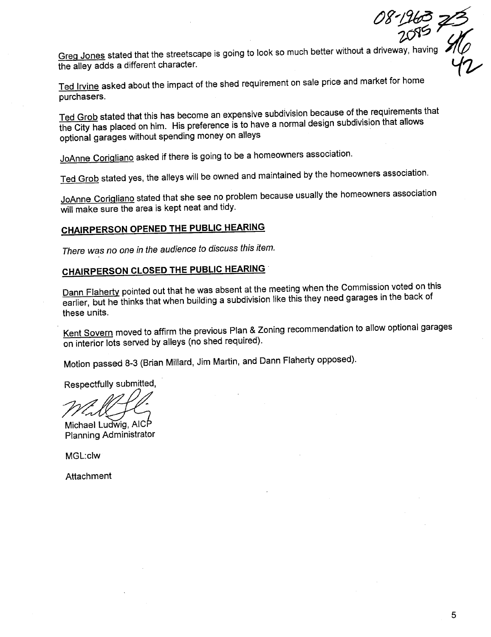Greg Jones stated that the streetscape is going to look so much better without a driveway, having '*I*'(*I*)

Ted Irvine asked about the impact of the shed requirement on sale price and market for home purchasers.

Ted Grob stated that this has become an expensive subdivision because of the requirements that the City has placed on him. His preference is to have a normal design subdivision that allows optional garages without spending money on alleys

JoAnne Coriqliano asked if there is going to be a homeowners association.

Ted Grob stated yes, the alleys will be owned and maintained by the homeowners association.

JoAnne Coriqliano stated that she see no problem because usually the homeowners association will make sure the area is kept neat and tidy.

## CHAIRPERSON OPENED THE PUBLIC HEARING

There was no one in the audience to discuss this item.

## CHAIRPERSON CLOSED THE PUBLIC HEARING

Dann Flaherty pointed out that he was absent at the meeting when the Commission voted on this earlier, but he thinks that when building a subdivision like this they need garages in the back of these units.

Kent Sovern moved to affirm the previous Plan & Zoning recommendation to allow optional garages on interior lots served by alleys (no shed required).

Motion passed 8-3 (Brian Millard, Jim Martin, and Dann Flaherty opposed).

Respectfully submitted,

Michael Ludwig, AICP Planning Administrator

MGL:clw

Attachment

08-1963 75

 $w - y$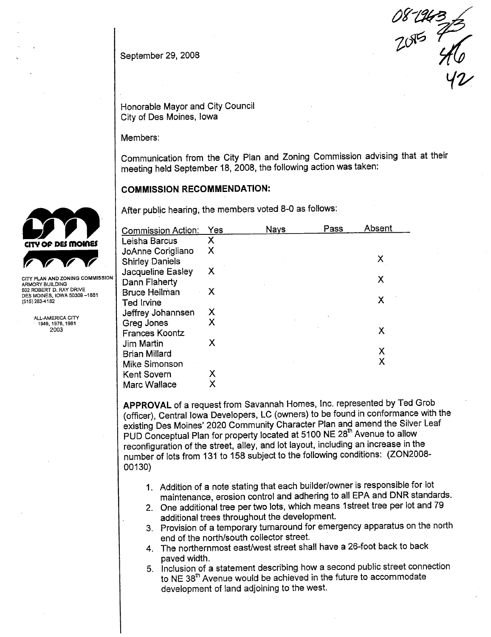September 29, 2008

 $087227$  $Y$ 

Honorable Mayor and City Council City of Des Moines, Iowa

Members:

Communication from the City Plan and Zoning Commission advising that at their meeting held September 18, 2008, the following action was taken:

### COMMISSION RECOMMENDATION:

After public hearing, the members voted 8-0 as follows:

|                                                        | <b>Commission Action:</b> | Yes | <b>Nays</b> | Pass | Absent |
|--------------------------------------------------------|---------------------------|-----|-------------|------|--------|
| CITY OF DES MOINES                                     | Leisha Barcus             | Х   |             |      |        |
|                                                        | JoAnne Corigliano         | Χ   |             |      |        |
|                                                        | <b>Shirley Daniels</b>    |     |             |      | Χ      |
|                                                        | Jacqueline Easley         | Х   |             |      |        |
| CITY PLAN AND ZONING COMMISSION<br>ARMORY BUILDING     | Dann Flaherty             |     |             |      | Χ      |
| 602 ROBERT D. RAY DRIVE<br>DES MOINES, IOWA 50309-1881 | <b>Bruce Heilman</b>      | X   |             |      |        |
| (515) 283-4182                                         | <b>Ted Irvine</b>         |     |             |      | Χ      |
| ALL-AMERICA CITY                                       | Jeffrey Johannsen         | X   |             |      |        |
| 1949, 1976, 1981                                       | Greg Jones                | X   |             |      |        |
| 2003                                                   | <b>Frances Koontz</b>     |     |             |      | Χ      |
|                                                        | Jim Martin                | х   |             |      |        |
|                                                        | Brian Millard             |     |             |      | Χ      |
|                                                        | Mike Simonson             |     |             |      | Χ      |
|                                                        | Kent Sovern               | Χ   |             |      |        |
|                                                        | Marc Wallace              | Χ   |             |      |        |

APPROVAL of a request from Savannah Homes, Inc. represented by Ted Grob (officer), Central Iowa Developers, LC (owners) to be found in conformance with the existing Des Moines' 2020 Community Character Plan and amend the Silver Leaf PUD Conceptual Plan for property located at 5100 NE 28<sup>th</sup> Avenue to allow reconfiguration of the street, alley, and lot layout, including an increase in the number of lots from 131 to 158 subject to the following conditions: (ZON2008- 00130)

- 1. Addition of a note stating that each builder/owner is responsible for lot maintenance, erosion control and adhering to all EPA and DNR standards.
- 2. One additional tree per two lots, which means 1 street tree per lot and 79 additional trees throughout the development.
- 3. Provision of a temporary turnaround for emergency apparatus on the north end of the north/south collector street.
- 4. The northernmost east/west street shall have a 26-foot back to back paved width.
- 5. Inclusion of a statement describing how a second public street connection to NE 38<sup>th</sup> Avenue would be achieved in the future to accommodate development of land adjoining to the west.



CITY PLAN AND ZONING COMMISSION DES MOINES, IOWA 50309-1881<br>(515) 283-4182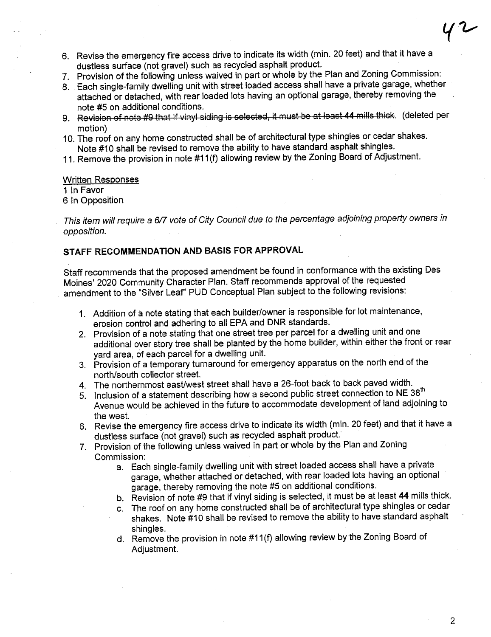- 6. Revise the emergency fire access drive to indicate its width (min. 20 feet) and that it have a dustless surface (not gravel) such as recycled asphalt product.
- 7. Provision of the following unless waived in part or whole by the Plan and Zoning Commission:
- 8. Each single-family dwelling unit with street loaded access shall have a private garage, whether attached or detached, with rear loaded lots having an optional garage, thereby removing the note #5 on additional conditions.
- 9. Revision of note #9 that if vinyl siding is selected, it must be at least 44 mills thick. (deleted per motion)
- 10. The roof on any home constructed shall be of architectural type shingles or cedar shakes. Note #10 shall be revised to remove the ability to have standard asphalt shingles.
- 11. Remove the provision in note #11 (f) allowing review by the Zoning Board of Adjustment.

#### Written Responses

1 In Favor

6 In Opposition

This item will require a 6/7 vote of City Council due to the percentage adjoining property owners in opposition.

## STAFF RECOMMENDATION AND BASIS FOR APPROVAL

Staff recommends that the proposed amendment be found in conformance with the existing Des Moines' 2020 Community Character Plan. Staff recommends approval of the requested amendment to the "Silver LeaF PUD Conceptual Plan subject to the following revisions:

- 1. Addition of a note stating that each builder/owner is responsible for lot maintenance, erosion control and adhering to all EPA and DNR standards.
- 2. Provision of a note stating that one street tree per parcel for a dwellng unit and one additional over story tree shall be planted by the home builder, within either the front or rear yard area, of each parcel for a dwelling unit.
- 3. Provision of a temporary turnaround for emergency apparatus on the north end of the north/south collector street.
- 4. The northernmost east/west street shall have a 26-foot back to back paved width.
- 5. Inclusion of a statement describing how a second public street connection to NE 38<sup>th</sup> Avenue would be achieved in the future to accommodate development of land adjoining to the west.
- 6. Revise the emergency fire access drive to indicate its width (min. 20 feet) and that it have a dustless surface (not gravel) such as recycled asphalt product:
- 7. Provision of the following unless waived in part or whole by the Plan and Zoning Commission:
	- a. Each single-family dwellng unit with street loaded access shall have a private garage, whether attached or detached, with rear loaded lots having an optional garage, thereby removing the note #5 on additional conditions.
	- b. Revision of note #9 that if vinyl siding is selected, it must be at least 44 mills thick.
	- c. The roof on any home constructed shall be of architectural type shingles or cedar shakes. Note #10 shall be revised to remove the abilty to have standard asphalt shingles.
	- d. Remove the provision in note #11 (f) allowing review by the Zoning Board of Adjustment.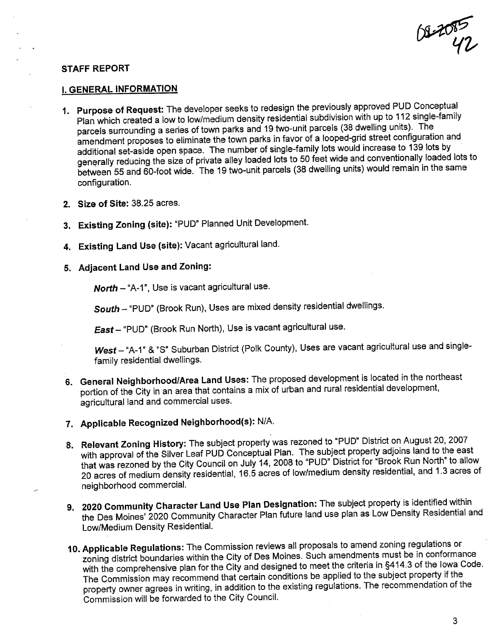$W^{\text{2D}}$ 

#### STAFF REPORT

#### i. GENERAL INFORMATION

- 1. Purpose of Request: The developer seeks to redesign the previously approved PUD Conceptual Plan which created a low to low/medium density residential subdivision with up to 112 single-family parcels surrounding a series of town parks and 19 two-unit parcels (38 dwellng units). The amendment proposes to eliminate the town parks in favor of a looped-grid street configuration and additional set-aside open space. The number of single-family lots would increase to 139 lots by generally reducing the size of private alley loaded lots to 50 feet wide and conventionally loaded lots to between 55 and 60-foot wide. The 19 two-unit parcels (38 dwellng units) would remain in the same configuration.
- 2. Size of Site: 38.25 acres.
- 3. Existing Zoning (site): "PUD" Planned Unit Development.
- 4. Existing Land Use (site): Vacant agricultural land.
- 5. Adjacent Land Use and Zoning:

North - "A-1", Use is vacant agricultural use.

South - "PUD" (Brook Run), Uses are mixed density residential dwellings.

East - "PUD" (Brook Run North), Use is vacant agricultural use.

West-"A-1" & "S" Suburban District (Polk County), Uses are vacant agricultural use and singlefamily residential dwellings.

- 6. General Neighborhood/Area Land Uses: The proposed development is located in the northeast portion of the City in an area that contains a mix of urban and rural residential development, agricultural land and commercial uses.
- 7. Applicable Recognized Neighborhood(s): N/A.
- 8. Relevant Zoning History: The subject property was rezoned to "PUD" District on August 20,2007 with approval of the Silver Leaf PUD Conceptual Plan. The subject property adjoins land to the east that was rezoned by the City Council on July 14, 2008 to "PUD" District for "Brook Run North" to allow 20 acres of medium density residential, 16.5 acres of low/medium density residential, and 1.3 acres of neighborhood commerciaL.
- 9. 2020 Community Character Land Use Plan Designation: The subject property is identified within the Des Moines' 2020 Community Character Plan future land use plan as Low Density Residential and Low/Medium Density ResidentiaL.
- 10. Applicable Regulations: The Commission reviews all proposals to amend zoning regulations or zoning district boundaries within the City of Des Moines. Such amendments must be in conformance with the comprehensive plan for the City and designed to meet the criteria in §414.3 of the Iowa Code. The Commission may recommend that certain conditions be applied to the subject property if the property owner agrees in writing, in addition to the existing regulations. The recommendation of the Commission will be forwarded to the City CounciL.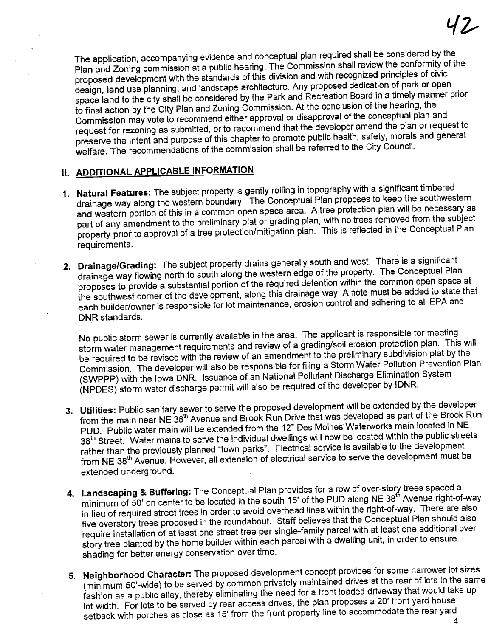The application, accompanying evidence and conceptual plan required shall be considered by the Plan and Zoning commission at a public hearing. The Commission shall review the conformity of the proposed development with the standards of this division and with recognized principles of civic design, land use planning, and landscape architecture. Any proposed dedication of park or open space land to the city shall be considered by the Park and Recreation Board in a timely manner prior to final action by the City Plan and Zoning Commission. At the conclusion of the hearing, the Commission may vote to recommend either approval or disapproval of the conceptual plan and request for rezoning as submitted, or to recommend that the developer amend the plan or request to preserve the intent and purpose of this chapter to promote public health, safety, morals and general welfare. The recommendations of the commission shall be referred to the City CounciL.

## II. ADDITIONAL APPLICABLE INFORMATION

- 1. Natural Features: The subject property is gently rolling in topography with a significant timbered drainage way along the western boundary. The Conceptual Plan proposes to keep the southwestern and western portion of this in a common open space area. A tree protection plan will be necessary as part of any amendment to the preliminary plat or grading plan, with no trees removed from the subject property prior to approval of a tree protection/mitigation plan. This is reflected in the Conceptual Plan requirements.
- 2. Drainage/Grading: The subject property drains generally south and west. There is a significant drainage way flowing north to south along the western edge of the property. The Conceptual Plan proposes to provide a substantial portion of the required detention within the common open space at the southwest corner of the development, along this drainage way. A note must be added to state that each builder/owner is responsible for lot maintenance, erosion control and adhering to all EPA and DNR standards.

No public storm sewer is currently available in the area. The applicant is responsible for meeting storm water management requirements and review of a grading/soil erosion protection plan. This wil be required to be revised with the review of an amendment to the preliminary subdivision plat by the Commission. The developer will also be responsible for filing a Storm Water Pollution Prevention Plan<br>(SWPPP) with the Iowa DNR. Issuance of an National Pollutant Discharge Elimination System (SWPPP) with the Iowa DNR. Issuance of an National Political Discharge Elimination Systems. (NPDES) storm water discharge permit will also be required of the developer by IDN

- 3. Utilties: Public sanitary sewer to serve the proposed development will be extended by the developer from the main near NE 38<sup>th</sup> Avenue and Brook Run Drive that was developed as part of the Brook Run PUD. Public water main wil be extended from the 12" Des Moines Waterworks main located in NE 38<sup>th</sup> Street. Water mains to serve the individual dwellings will now be located within the public streets rather than the previously planned "town parks". Electrical service is available to the development from NE 38th Avenue. However, all extension of electrical service to serve the development must be extended underground.
- 4. Landscaping & Buffering: The Conceptual Plan provides for a row of over-story frees spaced a<br> $\frac{1}{2}$  transfer a row of the DLID plang NE 38<sup>th</sup> Avenue right-oriented and transference and the space of the DLID plang N minimum of 50' on center to be located in the south 15' of the PUD along NE 38' Avenue right-of-way in lieu of required street trees in order to avoid overhead lines within the right-of-way. There are also five overstory trees proposed in the roundabout. Staff believes that the Conceptual Plan should also require installation of at least one street tree per single-family parcel with at least one additional over story tree planted by the home builder within each parcel with a dwellng unit, in order to ensure shading for better energy conservation over time.
- 5. Neighborhood Character: The proposed development concept provides for some narrower lot sizes<br>(minimum 50'-wide) to be served by common privately maintained drives at the rear of lots in the same (minimum 50'-wide) to be served by common privately maintained direct at the rear of lots in the same of the same same same same of the same same of the same same same we can be absorbed for a front loaded driveway that wo fashion as a public alley, thereby eliminating the need for a front loaded driveway that would take up lot width. For lots to be served by rear access drives, the plan proposes a 20' front yard house setback with porches as close as 15' from the front property line to accommodate the rear yard 4